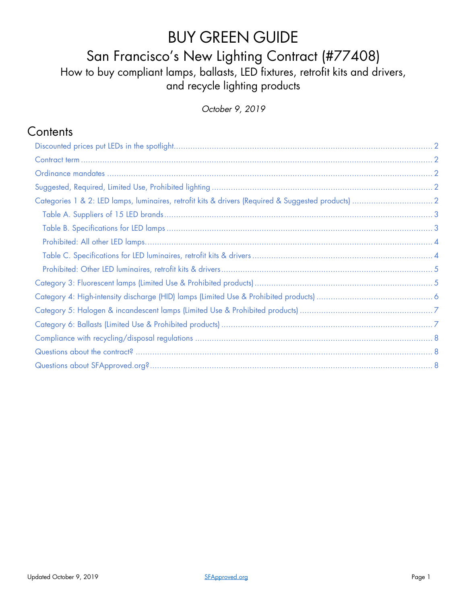# BUY GREEN GUIDE

### San Francisco's New Lighting Contract (#77408)

How to buy compliant lamps, ballasts, LED fixtures, retrofit kits and drivers, and recycle lighting products

*October 9, 2019*

#### **Contents**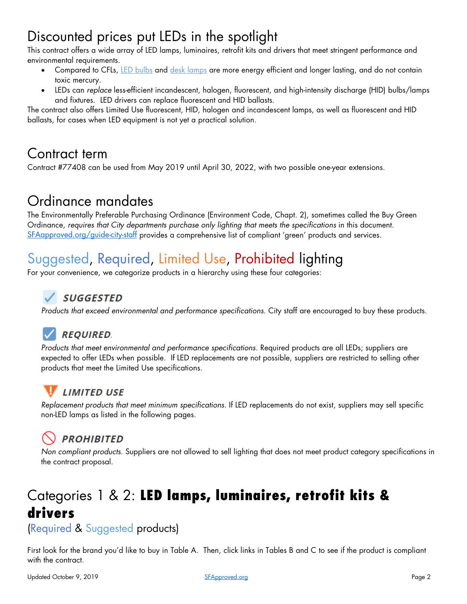# <span id="page-1-0"></span>Discounted prices put LEDs in the spotlight

This contract offers a wide array of LED lamps, luminaires, retrofit kits and drivers that meet stringent performance and environmental requirements.

- Compared to CFLs, [LED bulbs](http://bit.ly/1zcZAoh) and [desk lamps](http://bit.ly/13WEFy8) are more energy efficient and longer lasting, and do not contain toxic mercury.
- LEDs can *replace* less-efficient incandescent, halogen, fluorescent, and high-intensity discharge (HID) bulbs/lamps and fixtures. LED drivers can replace fluorescent and HID ballasts.

The contract also offers Limited Use fluorescent, HID, halogen and incandescent lamps, as well as fluorescent and HID ballasts, for cases when LED equipment is not yet a practical solution.

### <span id="page-1-1"></span>Contract term

Contract #77408 can be used from May 2019 until April 30, 2022, with two possible one-year extensions.

### <span id="page-1-2"></span>Ordinance mandates

The Environmentally Preferable Purchasing Ordinance (Environment Code, Chapt. 2), sometimes called the Buy Green Ordinance, *requires that City departments purchase only lighting that meets the specifications* in this document. [SFAapproved.org/guide-city-staff](http://sfapproved.org/guide-city-staff) provides a comprehensive list of compliant 'green' products and services.

# <span id="page-1-3"></span>Suggested, Required, Limited Use, Prohibited lighting

For your convenience, we categorize products in a hierarchy using these four categories:

#### $\sqrt$  SUGGESTED

*Products that exceed environmental and performance specifications*. City staff are encouraged to buy these products.

### **REQUIRED.**

*Products that meet environmental and performance specifications*. Required products are all LEDs; suppliers are expected to offer LEDs when possible. If LED replacements are not possible, suppliers are restricted to selling other products that meet the Limited Use specifications.

*Replacement products that meet minimum specifications.* If LED replacements do not exist, suppliers may sell specific non-LED lamps as listed in the following pages.

### **PROHIBITED**

*Non compliant products.* Suppliers are not allowed to sell lighting that does not meet product category specifications in the contract proposal.

# <span id="page-1-4"></span>Categories 1 & 2: LED lamps, luminaires, retrofit kits & drivers

(Required & Suggested products)

First look for the brand you'd like to buy in Table A. Then, click links in Tables B and C to see if the product is compliant with the contract.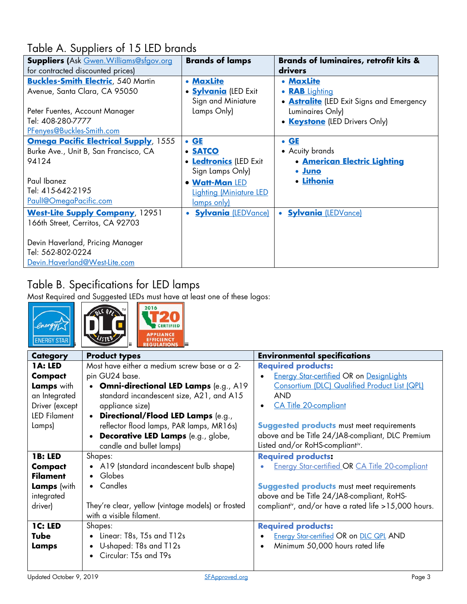### <span id="page-2-0"></span>Table A. Suppliers of 15 LED brands

| <b>Suppliers (Ask Gwen. Williams@sfgov.org</b> | <b>Brands of lamps</b>                  | <b>Brands of luminaires, retrofit kits &amp;</b> |
|------------------------------------------------|-----------------------------------------|--------------------------------------------------|
| for contracted discounted prices)              |                                         | drivers                                          |
| <b>Buckles-Smith Electric</b> , 540 Martin     | • MaxLite                               | • MaxLite                                        |
| Avenue, Santa Clara, CA 95050                  | • <b>Sylvania</b> (LED Exit             | • RAB Lighting                                   |
|                                                | Sign and Miniature                      | <b>• Astralite</b> (LED Exit Signs and Emergency |
| Peter Fuentes, Account Manager                 | Lamps Only)                             | Luminaires Only)                                 |
| Tel: 408-280-7777                              |                                         | • <b>Keystone</b> (LED Drivers Only)             |
| PFenyes@Buckles-Smith.com                      |                                         |                                                  |
| <b>Omega Pacific Electrical Supply, 1555</b>   | $\bullet$ GE                            | $\bullet$ GE                                     |
| Burke Ave., Unit B, San Francisco, CA          | <b>• SATCO</b>                          | • Acuity brands                                  |
| 94124                                          | <b>• Ledtronics (LED Exit</b>           | <b>• American Electric Lighting</b>              |
|                                                | Sign Lamps Only)                        | • Juno                                           |
| Paul Ibanez                                    | • Watt-Man LED                          | · Lithonia                                       |
| Tel: 415-642-2195                              | <b>Lighting (Miniature LED</b>          |                                                  |
| <u>Paull@OmegaPacific.com</u>                  | lamps only)                             |                                                  |
| <b>West-Lite Supply Company</b> , 12951        | <b>Sylvania (LEDVance)</b><br>$\bullet$ | • <b>Sylvania</b> (LEDVance)                     |
| 166th Street, Cerritos, CA 92703               |                                         |                                                  |
|                                                |                                         |                                                  |
| Devin Haverland, Pricing Manager               |                                         |                                                  |
| Tel: 562-802-0224                              |                                         |                                                  |
| Devin.Haverland@West-Lite.com                  |                                         |                                                  |

### <span id="page-2-2"></span><span id="page-2-1"></span>Table B. Specifications for LED lamps

Most Required and Suggested LEDs must have at least one of these logos:

<span id="page-2-3"></span>

|                                                                                                      | 2016                                                                                                                                                                                                                                                             |                                                                                                                                                                                                                                              |
|------------------------------------------------------------------------------------------------------|------------------------------------------------------------------------------------------------------------------------------------------------------------------------------------------------------------------------------------------------------------------|----------------------------------------------------------------------------------------------------------------------------------------------------------------------------------------------------------------------------------------------|
| <b>Category</b>                                                                                      | <b>Product types</b>                                                                                                                                                                                                                                             | <b>Environmental specifications</b>                                                                                                                                                                                                          |
| 1A: LED<br>Compact<br>Lamps with<br>an Integrated<br>Driver (except<br><b>LED Filament</b><br>Lamps) | Most have either a medium screw base or a 2-<br>pin GU24 base.<br><b>Omni-directional LED Lamps (e.g., A19)</b><br>standard incandescent size, A21, and A15<br>appliance size)<br>Directional/Flood LED Lamps (e.g.,<br>reflector flood lamps, PAR lamps, MR16s) | <b>Required products:</b><br><b>Energy Star-certified OR on DesignLights</b><br>Consortium (DLC) Qualified Product List (QPL)<br><b>AND</b><br><b>CA Title 20-compliant</b><br><b>Suggested products must meet requirements</b>              |
|                                                                                                      | Decorative LED Lamps (e.g., globe,<br>candle and bullet lamps)                                                                                                                                                                                                   | above and be Title 24/JA8-compliant, DLC Premium<br>Listed and/or RoHS-compliantiv.                                                                                                                                                          |
| <b>1B: LED</b><br><b>Compact</b><br><b>Filament</b><br><b>Lamps</b> (with<br>integrated<br>driver)   | Shapes:<br>A19 (standard incandescent bulb shape)<br>Globes<br>$\bullet$<br>Candles<br>$\bullet$<br>They're clear, yellow (vintage models) or frosted<br>with a visible filament.                                                                                | <b>Required products:</b><br><b>Energy Star-certified OR CA Title 20-compliant</b><br><b>Suggested products</b> must meet requirements<br>above and be Title 24/JA8-compliant, RoHS-<br>compliantiv, and/or have a rated life >15,000 hours. |
| <b>1C: LED</b><br><b>Tube</b><br>Lamps                                                               | Shapes:<br>Linear: T8s, T5s and T12s<br>$\bullet$<br>U-shaped: T8s and T12s<br>Circular: T5s and T9s                                                                                                                                                             | <b>Required products:</b><br><b>Energy Star-certified OR on DLC QPL AND</b><br>Minimum 50,000 hours rated life                                                                                                                               |
| Updated October 9, 2019                                                                              | SFApproved.org                                                                                                                                                                                                                                                   | Page 3                                                                                                                                                                                                                                       |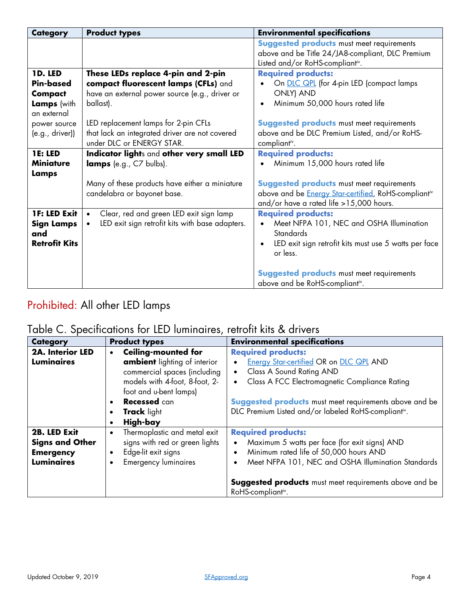| <b>Category</b>                                                                      | <b>Product types</b>                                                                                                                                                              | <b>Environmental specifications</b>                                                                                                                                                                  |
|--------------------------------------------------------------------------------------|-----------------------------------------------------------------------------------------------------------------------------------------------------------------------------------|------------------------------------------------------------------------------------------------------------------------------------------------------------------------------------------------------|
|                                                                                      |                                                                                                                                                                                   | <b>Suggested products must meet requirements</b><br>above and be Title 24/JA8-compliant, DLC Premium<br>Listed and/or RoHS-compliantiv.                                                              |
| 1D. LED<br><b>Pin-based</b><br>Compact<br>Lamps (with<br>an external<br>power source | These LEDs replace 4-pin and 2-pin<br>compact fluorescent lamps (CFLs) and<br>have an external power source (e.g., driver or<br>ballast).<br>LED replacement lamps for 2-pin CFLs | <b>Required products:</b><br>On <b>DLC QPL</b> (for 4-pin LED (compact lamps<br><b>ONLY) AND</b><br>Minimum 50,000 hours rated life<br>$\bullet$<br><b>Suggested products must meet requirements</b> |
| (e.g., drive)                                                                        | that lack an integrated driver are not covered<br>under DLC or ENERGY STAR.                                                                                                       | above and be DLC Premium Listed, and/or RoHS-<br>compliantiv.                                                                                                                                        |
| <b>1E: LED</b><br><b>Miniature</b><br>Lamps                                          | Indicator lights and other very small LED<br>lamps (e.g., C7 bulbs).                                                                                                              | <b>Required products:</b><br>Minimum 15,000 hours rated life                                                                                                                                         |
|                                                                                      | Many of these products have either a miniature<br>candelabra or bayonet base.                                                                                                     | <b>Suggested products must meet requirements</b><br>above and be <i>Energy Star-certified</i> , RoHS-compliant <sup>iv</sup><br>and/or have a rated life >15,000 hours.                              |
| 1F: LED Exit<br><b>Sign Lamps</b><br>and<br><b>Retrofit Kits</b>                     | Clear, red and green LED exit sign lamp<br>$\bullet$<br>LED exit sign retrofit kits with base adapters.<br>$\bullet$                                                              | <b>Required products:</b><br>Meet NFPA 101, NEC and OSHA Illumination<br><b>Standards</b><br>LED exit sign retrofit kits must use 5 watts per face<br>or less.                                       |
|                                                                                      |                                                                                                                                                                                   | <b>Suggested products must meet requirements</b><br>above and be RoHS-compliantiv.                                                                                                                   |

### <span id="page-3-0"></span>Prohibited: All other LED lamps

#### <span id="page-3-1"></span>Table C. Specifications for LED luminaires, retrofit kits & drivers

| <b>Category</b>                                                                 | <b>Product types</b>                                                                                                                                                                                                                      | <b>Environmental specifications</b>                                                                                                                                                                                                                                                                                     |
|---------------------------------------------------------------------------------|-------------------------------------------------------------------------------------------------------------------------------------------------------------------------------------------------------------------------------------------|-------------------------------------------------------------------------------------------------------------------------------------------------------------------------------------------------------------------------------------------------------------------------------------------------------------------------|
| 2A. Interior LED<br><b>Luminaires</b>                                           | <b>Ceiling-mounted for</b><br>$\bullet$<br>ambient lighting of interior<br>commercial spaces (including<br>models with 4-foot, 8-foot, 2-<br>foot and u-bent lamps)<br><b>Recessed</b> can<br><b>Track</b> light<br>High-bay<br>$\bullet$ | <b>Required products:</b><br><b>Energy Star-certified OR on DLC QPL AND</b><br>$\bullet$<br>Class A Sound Rating AND<br>$\bullet$<br>Class A FCC Electromagnetic Compliance Rating<br>$\bullet$<br><b>Suggested products</b> must meet requirements above and be<br>DLC Premium Listed and/or labeled RoHS-compliantiv. |
| 2B. LED Exit<br><b>Signs and Other</b><br><b>Emergency</b><br><b>Luminaires</b> | Thermoplastic and metal exit<br>$\bullet$<br>signs with red or green lights<br>Edge-lit exit signs<br>$\bullet$<br><b>Emergency luminaires</b><br>$\bullet$                                                                               | <b>Required products:</b><br>Maximum 5 watts per face (for exit signs) AND<br>$\bullet$<br>Minimum rated life of 50,000 hours AND<br>$\bullet$<br>Meet NFPA 101, NEC and OSHA Illumination Standards<br>$\bullet$<br><b>Suggested products</b> must meet requirements above and be<br>RoHS-compliantiv.                 |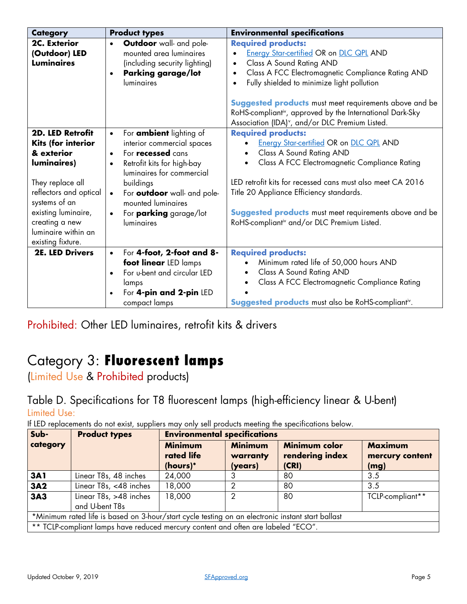| <b>Category</b>                                                                                                                                                                                                                | <b>Product types</b>                                                                                                                                                                                                                                                                                                                  | <b>Environmental specifications</b>                                                                                                                                                                                                                                                                                                                                                                                                                        |
|--------------------------------------------------------------------------------------------------------------------------------------------------------------------------------------------------------------------------------|---------------------------------------------------------------------------------------------------------------------------------------------------------------------------------------------------------------------------------------------------------------------------------------------------------------------------------------|------------------------------------------------------------------------------------------------------------------------------------------------------------------------------------------------------------------------------------------------------------------------------------------------------------------------------------------------------------------------------------------------------------------------------------------------------------|
| 2C. Exterior<br>(Outdoor) LED<br><b>Luminaires</b>                                                                                                                                                                             | <b>Outdoor</b> wall- and pole-<br>$\bullet$<br>mounted area luminaires<br>(including security lighting)<br><b>Parking garage/lot</b><br>$\bullet$<br>luminaires                                                                                                                                                                       | <b>Required products:</b><br><b>Energy Star-certified OR on DLC QPL AND</b><br>$\bullet$<br>Class A Sound Rating AND<br>$\bullet$<br>Class A FCC Electromagnetic Compliance Rating AND<br>$\bullet$<br>Fully shielded to minimize light pollution<br>$\bullet$<br><b>Suggested products</b> must meet requirements above and be<br>RoHS-compliantiv, approved by the International Dark-Sky<br>Association (IDA) <sup>v</sup> , and/or DLC Premium Listed. |
| <b>2D. LED Retrofit</b><br>Kits (for interior<br>& exterior<br>luminaires)<br>They replace all<br>reflectors and optical<br>systems of an<br>existing luminaire,<br>creating a new<br>luminaire within an<br>existing fixture. | For <b>ambient</b> lighting of<br>$\bullet$<br>interior commercial spaces<br>For <b>recessed</b> cans<br>$\bullet$<br>Retrofit kits for high-bay<br>$\bullet$<br>luminaires for commercial<br>buildings<br>For outdoor wall- and pole-<br>$\bullet$<br>mounted luminaires<br>For <b>parking</b> garage/lot<br>$\bullet$<br>luminaires | <b>Required products:</b><br><b>Energy Star-certified OR on DLC QPL AND</b><br>Class A Sound Rating AND<br>$\bullet$<br>Class A FCC Electromagnetic Compliance Rating<br>$\bullet$<br>LED retrofit kits for recessed cans must also meet CA 2016<br>Title 20 Appliance Efficiency standards.<br><b>Suggested products</b> must meet requirements above and be<br>RoHS-compliantiv and/or DLC Premium Listed.                                               |
| 2E. LED Drivers                                                                                                                                                                                                                | For 4-foot, 2-foot and 8-<br>$\bullet$<br>foot linear LED lamps<br>For u-bent and circular LED<br>$\bullet$<br>lamps<br>For 4-pin and 2-pin LED<br>$\bullet$<br>compact lamps                                                                                                                                                         | <b>Required products:</b><br>Minimum rated life of 50,000 hours AND<br>$\bullet$<br>Class A Sound Rating AND<br>Class A FCC Electromagnetic Compliance Rating<br><b>Suggested products</b> must also be RoHS-compliant <sup>iv</sup> .                                                                                                                                                                                                                     |

<span id="page-4-0"></span>Prohibited: Other LED luminaires, retrofit kits & drivers

# <span id="page-4-1"></span>Category 3: Fluorescent lamps

(Limited Use & Prohibited products)

Table D. Specifications for T8 fluorescent lamps (high-efficiency linear & U-bent) Limited Use:

If LED replacements do not exist, suppliers may only sell products meeting the specifications below.

| Sub-                                                                                              | <b>Product types</b>                                                              |                                          | <b>Environmental specifications</b>   |                                                  |                                           |  |
|---------------------------------------------------------------------------------------------------|-----------------------------------------------------------------------------------|------------------------------------------|---------------------------------------|--------------------------------------------------|-------------------------------------------|--|
| category                                                                                          |                                                                                   | <b>Minimum</b><br>rated life<br>(hours)* | <b>Minimum</b><br>warranty<br>(years) | <b>Minimum color</b><br>rendering index<br>(CRI) | <b>Maximum</b><br>mercury content<br>(mg) |  |
| <b>3A1</b>                                                                                        | Linear T8s, 48 inches                                                             | 24,000                                   |                                       | 80                                               | 3.5                                       |  |
| 3A2                                                                                               | Linear T8s, <48 inches                                                            | 18,000                                   |                                       | 80                                               | 3.5                                       |  |
| 3A3                                                                                               | Linear T8s, >48 inches<br>and U-bent T8s                                          | 18,000                                   |                                       | 80                                               | TCLP-compliant**                          |  |
| *Minimum rated life is based on 3-hour/start cycle testing on an electronic instant start ballast |                                                                                   |                                          |                                       |                                                  |                                           |  |
|                                                                                                   | ** TCLP-compliant lamps have reduced mercury content and often are labeled "ECO". |                                          |                                       |                                                  |                                           |  |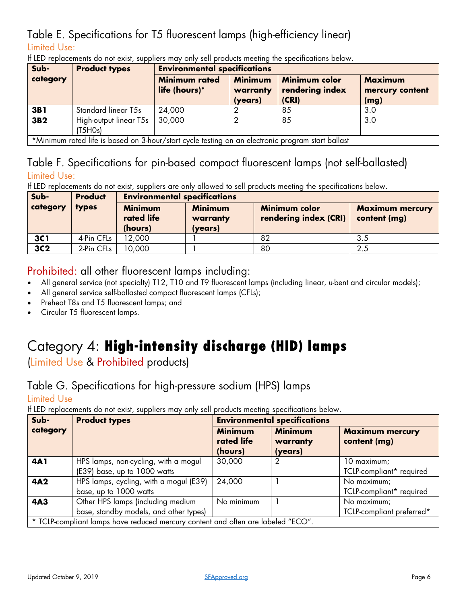#### Table E. Specifications for T5 fluorescent lamps (high-efficiency linear) Limited Use:

| Sub-            | <b>Product types</b>                                                                              |                                       | <b>Environmental specifications</b>   |                                           |                                           |  |
|-----------------|---------------------------------------------------------------------------------------------------|---------------------------------------|---------------------------------------|-------------------------------------------|-------------------------------------------|--|
| category        |                                                                                                   | <b>Minimum rated</b><br>life (hours)* | <b>Minimum</b><br>warranty<br>(years) | Minimum color<br>rendering index<br>(CRI) | <b>Maximum</b><br>mercury content<br>(mg) |  |
| 3B1             | <b>Standard linear T5s</b>                                                                        | 24,000                                |                                       | 85                                        | 3.0                                       |  |
| 3B <sub>2</sub> | High-output linear T5s<br>(T5HOs)                                                                 | 30,000                                |                                       | 85                                        | 3.0                                       |  |
|                 | *Minimum rated life is based on 3-hour/start cycle testing on an electronic program start ballast |                                       |                                       |                                           |                                           |  |

If LED replacements do not exist, suppliers may only sell products meeting the specifications below.

#### Table F. Specifications for pin-based compact fluorescent lamps (not self-ballasted) Limited Use:

If LED replacements do not exist, suppliers are only allowed to sell products meeting the specifications below.

| Sub-       | <b>Product</b> |                              | <b>Environmental specifications</b> |                                               |                                        |  |
|------------|----------------|------------------------------|-------------------------------------|-----------------------------------------------|----------------------------------------|--|
| category   | types          | <b>Minimum</b><br>rated life | <b>Minimum</b><br>warranty          | <b>Minimum color</b><br>rendering index (CRI) | <b>Maximum mercury</b><br>content (mg) |  |
|            |                | (hours)                      | (years)                             |                                               |                                        |  |
| <b>3C1</b> | 4-Pin CFLs     | 12,000                       |                                     | 82                                            | 3.5                                    |  |
| 3C2        | 2-Pin CFLs     | 10,000                       |                                     | 80                                            | 2.5                                    |  |

#### Prohibited: all other fluorescent lamps including:

- All general service (not specialty) T12, T10 and T9 fluorescent lamps (including linear, u-bent and circular models);
- All general service self-ballasted compact fluorescent lamps (CFLs);
- Preheat T8s and T5 fluorescent lamps; and
- Circular T5 fluorescent lamps.

# <span id="page-5-0"></span>Category 4: High-intensity discharge (HID) lamps

(Limited Use & Prohibited products)

### Table G. Specifications for high-pressure sodium (HPS) lamps

Limited Use

If LED replacements do not exist, suppliers may only sell products meeting specifications below.

| Sub-       | <b>Product types</b>                                                             | <b>Environmental specifications</b>     |                                       |                                          |
|------------|----------------------------------------------------------------------------------|-----------------------------------------|---------------------------------------|------------------------------------------|
| category   |                                                                                  | <b>Minimum</b><br>rated life<br>(hours) | <b>Minimum</b><br>warranty<br>(years) | <b>Maximum mercury</b><br>content (mg)   |
| 4A1        | HPS lamps, non-cycling, with a mogul<br>(E39) base, up to 1000 watts             | 30,000                                  | 2                                     | 10 maximum;<br>TCLP-compliant* required  |
| <b>4A2</b> | HPS lamps, cycling, with a mogul (E39)<br>base, up to 1000 watts                 | 24,000                                  |                                       | No maximum;<br>TCLP-compliant* required  |
| <b>4A3</b> | Other HPS lamps (including medium<br>base, standby models, and other types)      | No minimum                              |                                       | No maximum;<br>TCLP-compliant preferred* |
|            | * TCLP-compliant lamps have reduced mercury content and often are labeled "ECO". |                                         |                                       |                                          |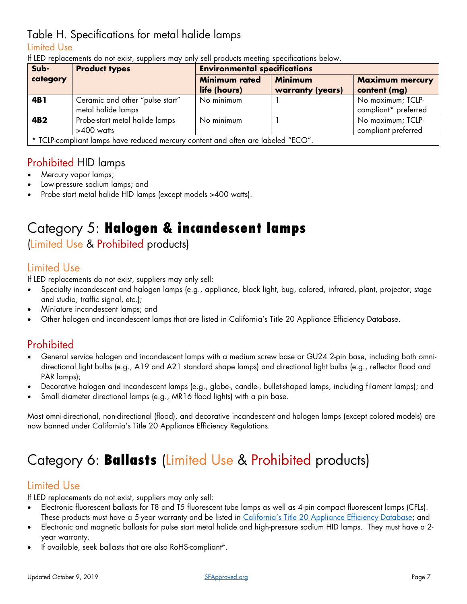#### Table H. Specifications for metal halide lamps

#### Limited Use

| Sub-            | <b>Product types</b>                                                             | <b>Environmental specifications</b>    |                  |                        |  |  |
|-----------------|----------------------------------------------------------------------------------|----------------------------------------|------------------|------------------------|--|--|
| category        |                                                                                  | <b>Minimum rated</b><br><b>Minimum</b> |                  | <b>Maximum mercury</b> |  |  |
|                 |                                                                                  | life (hours)                           | warranty (years) | content (mg)           |  |  |
| 4B1             | Ceramic and other "pulse start"                                                  | No minimum                             |                  | No maximum; TCLP-      |  |  |
|                 | metal halide lamps                                                               |                                        |                  | compliant* preferred   |  |  |
| 4B <sub>2</sub> | Probe-start metal halide lamps                                                   | No minimum                             |                  | No maximum; TCLP-      |  |  |
|                 | $>400$ watts                                                                     |                                        |                  | compliant preferred    |  |  |
|                 | * TCLP-compliant lamps have reduced mercury content and often are labeled "ECO". |                                        |                  |                        |  |  |

If LED replacements do not exist, suppliers may only sell products meeting specifications below.

#### Prohibited HID lamps

- Mercury vapor lamps;
- Low-pressure sodium lamps; and
- Probe start metal halide HID lamps (except models >400 watts).

# <span id="page-6-0"></span>Category 5: Halogen & incandescent lamps

### (Limited Use & Prohibited products)

#### Limited Use

If LED replacements do not exist, suppliers may only sell:

- Specialty incandescent and halogen lamps (e.g., appliance, black light, bug, colored, infrared, plant, projector, stage and studio, traffic signal, etc.);
- Miniature incandescent lamps; and
- Other halogen and incandescent lamps that are listed in California's Title 20 Appliance Efficiency Database.

#### Prohibited

- General service halogen and incandescent lamps with a medium screw base or GU24 2-pin base, including both omnidirectional light bulbs (e.g., A19 and A21 standard shape lamps) and directional light bulbs (e.g., reflector flood and PAR lamps);
- Decorative halogen and incandescent lamps (e.g., globe-, candle-, bullet-shaped lamps, including filament lamps); and
- Small diameter directional lamps (e.g., MR16 flood lights) with a pin base.

Most omni-directional, non-directional (flood), and decorative incandescent and halogen lamps (except colored models) are now banned under California's Title 20 Appliance Efficiency Regulations.

# <span id="page-6-1"></span>Category 6: **Ballasts** (Limited Use & Prohibited products)

#### Limited Use

If LED replacements do not exist, suppliers may only sell:

- Electronic fluorescent ballasts for T8 and T5 fluorescent tube lamps as well as 4-pin compact fluorescent lamps (CFLs). These products must have a 5-year warranty and be listed in [California's Title 20 Appliance Efficiency Database;](https://cacertappliances.energy.ca.gov/Pages/ApplianceSearch.aspx) and
- Electronic and magnetic ballasts for pulse start metal halide and high-pressure sodium HID lamps. They must have a 2 year warranty.
- If available, seek ballasts that are also RoHS-complian[tiv.](#page-2-3)